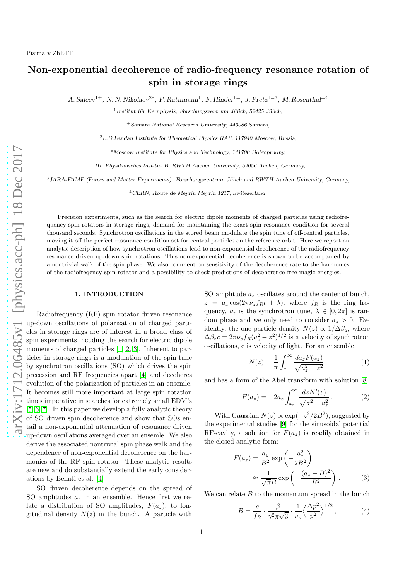## Non-exponential decoherence of radio-frequency resonance rotation of spin in storage rings

A. Saleev<sup>1+</sup>, N. N. Nikolaev<sup>2\*</sup>, F. Rathmann<sup>1</sup>, F. Hinder<sup>1=</sup>, J. Pretz<sup>1=3</sup>, M. Rosenthal<sup>=4</sup>

<sup>1</sup> Institut für Kernphysik, Forschungszentrum Jülich, 52425 Jülich,

<sup>+</sup>Samara National Research University, 443086 Samara,

<sup>2</sup>L.D.Landau Institute for Theoretical Physics RAS, 117940 Moscow, Russia,

<sup>∗</sup>Moscow Institute for Physics and Technology, 141700 Dolgoprudny,

<sup>=</sup>III. Physikalisches Institut B, RWTH Aachen University, 52056 Aachen, Germany,

 $3JARA-FAME$  (Forces and Matter Experiments). Forschungszentrum Jülich and RWTH Aachen University, Germany,

<sup>4</sup>CERN, Route de Meyrin Meyrin 1217, Switezerland.

Precision experiments, such as the search for electric dipole moments of charged particles using radiofrequency spin rotators in storage rings, demand for maintaining the exact spin resonance condition for several thousand seconds. Synchrotron oscillations in the stored beam modulate the spin tune of off-central particles, moving it off the perfect resonance condition set for central particles on the reference orbit. Here we report an analytic description of how synchrotron oscillations lead to non-exponential decoherence of the radiofrequency resonance driven up-down spin rotations. This non-exponential decoherence is shown to be accompanied by a nontrivial walk of the spin phase. We also comment on sensitivity of the decoherence rate to the harmonics of the radiofreqency spin rotator and a possibility to check predictions of decoherence-free magic energies.

## 1. INTRODUCTION

Radiofrequency (RF) spin rotator driven resonance up-down oscillations of polarization of charged particles in storage rings are of interest in a broad class of spin experiments incuding the search for electric dipole moments of charged particles [\[1,](#page-3-0) [2,](#page-3-1) [3\]](#page-3-2). Inherent to particles in storage rings is a modulation of the spin-tune by synchrotron oscillations (SO) which drives the spin precession and RF frequencies apart [\[4\]](#page-3-3) and decoheres evolution of the polarization of particles in an ensemle. It becomes still more important at large spin rotation times imperative in searches for extremely small EDM's [\[5,](#page-3-4) [6,](#page-3-5) [7\]](#page-3-6). In this paper we develop a fully analytic theory of SO driven spin decoherence and show that SOs entail a non-exponential attenuation of resonance driven up-down oscillations averaged over an ensemle. We also derive the associated nontrivial spin phase walk and the dependence of non-exponential decoherence on the harmonics of the RF spin rotator. These analytic results are new and do substantially extend the early considerations by Benati et al. [\[4\]](#page-3-3)

SO driven decoherence depends on the spread of SO amplitudes  $a_z$  in an ensemble. Hence first we relate a distribution of SO amplitudes,  $F(a_z)$ , to longitudinal density  $N(z)$  in the bunch. A particle with

SO amplitude  $a_z$  oscillates around the center of bunch,  $z = a_z \cos(2\pi \nu_z f_R t + \lambda)$ , where  $f_R$  is the ring frequency,  $\nu_z$  is the synchrotron tune,  $\lambda \in [0, 2\pi]$  is random phase and we only need to consider  $a_z > 0$ . Evidently, the one-particle density  $N(z) \propto 1/\Delta \beta_z$ , where  $\Delta\beta_z c = 2\pi\nu_z f_R (a_z^2 - z^2)^{1/2}$  is a velocity of synchrotron oscillations, c is velocity of light. For an ensemble

$$
N(z) = \frac{1}{\pi} \int_{z}^{\infty} \frac{da_{z} F(a_{z})}{\sqrt{a_{z}^{2} - z^{2}}}
$$
 (1)

and has a form of the Abel transform with solution [\[8\]](#page-3-7)

$$
F(a_z) = -2a_z \int_{a_z}^{\infty} \frac{dz N'(z)}{\sqrt{z^2 - a_z^2}}.
$$
 (2)

With Gaussian  $N(z) \propto \exp(-z^2/2B^2)$ , suggested by the experimental studies [\[9\]](#page-3-8) for the sinusoidal potential RF-cavity, a solution for  $F(a_z)$  is readily obtained in the closed analytic form:

$$
F(a_z) = \frac{a_z}{B^2} \exp\left(-\frac{a_z^2}{2B^2}\right)
$$

$$
\approx \frac{1}{\sqrt{\pi}B} \exp\left(-\frac{(a_z - B)^2}{B^2}\right).
$$
 (3)

We can relate  $B$  to the momentum spread in the bunch

<span id="page-0-1"></span><span id="page-0-0"></span>
$$
B = \frac{c}{f_R} \cdot \frac{\beta}{\gamma^2 \pi \sqrt{3}} \cdot \frac{1}{\nu_z} \left\langle \frac{\Delta p^2}{p^2} \right\rangle^{1/2},\tag{4}
$$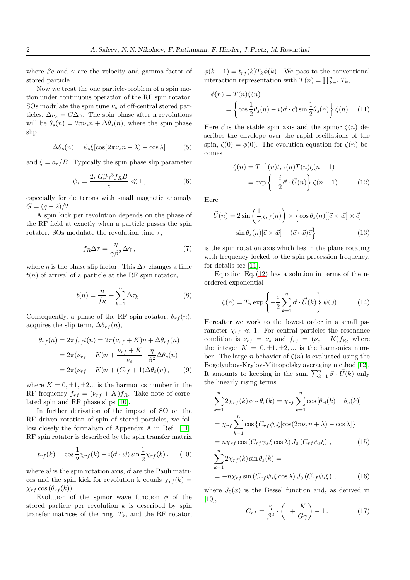where  $\beta c$  and  $\gamma$  are the velocity and gamma-factor of stored particle.

Now we treat the one particle-problem of a spin motion under continuous operation of the RF spin rotator. SOs modulate the spin tune  $\nu_s$  of off-central stored particles,  $\Delta \nu_s = G \Delta \gamma$ . The spin phase after n revolutions will be  $\theta_s(n) = 2\pi \nu_s n + \Delta \theta_s(n)$ , where the spin phase slip

$$
\Delta \theta_s(n) = \psi_s \xi[\cos(2\pi\nu_z n + \lambda) - \cos \lambda] \tag{5}
$$

and  $\xi = a_z/B$ . Typically the spin phase slip parameter

<span id="page-1-1"></span>
$$
\psi_s = \frac{2\pi G\beta\gamma^3 f_R B}{c} \ll 1, \qquad (6)
$$

especially for deuterons with small magnetic anomaly  $G = (q-2)/2.$ 

A spin kick per revolution depends on the phase of the RF field at exactly when a particle passes the spin rotator. SOs modulate the revolution time  $\tau$ ,

$$
f_R \Delta \tau = \frac{\eta}{\gamma \beta^2} \Delta \gamma \,,\tag{7}
$$

where  $\eta$  is the phase slip factor. This  $\Delta \tau$  changes a time  $t(n)$  of arrival of a particle at the RF spin rotator,

$$
t(n) = \frac{n}{f_R} + \sum_{k=1}^{n} \Delta \tau_k.
$$
 (8)

Consequently, a phase of the RF spin rotator,  $\theta_{rf}(n)$ , acquires the slip term,  $\Delta \theta_{rf}(n)$ ,

$$
\theta_{rf}(n) = 2\pi f_{rf}t(n) = 2\pi(\nu_{rf} + K)n + \Delta\theta_{rf}(n)
$$

$$
= 2\pi(\nu_{rf} + K)n + \frac{\nu_{rf} + K}{\nu_s} \cdot \frac{\eta}{\beta^2} \Delta\theta_s(n)
$$

$$
= 2\pi(\nu_{rf} + K)n + (C_{rf} + 1)\Delta\theta_s(n), \qquad (9)
$$

where  $K = 0, \pm 1, \pm 2...$  is the harmonics number in the RF frequency  $f_{rf} = (\nu_{rf} + K) f_R$ . Take note of correlated spin and RF phase slips [\[10\]](#page-3-9).

In further derivation of the impact of SO on the RF driven rotation of spin of stored particles, we follow closely the formalism of Appendix A in Ref. [\[11\]](#page-3-10). RF spin rotator is described by the spin transfer matrix

$$
t_{rf}(k) = \cos\frac{1}{2}\chi_{rf}(k) - i(\vec{\sigma} \cdot \vec{w})\sin\frac{1}{2}\chi_{rf}(k).
$$
 (10)

where  $\vec{w}$  is the spin rotation axis,  $\vec{\sigma}$  are the Pauli matrices and the spin kick for revolution k equals  $\chi_{rf}(k)$  =  $\chi_{rf}$  cos  $(\theta_{rf}(k))$ .

Evolution of the spinor wave function  $\phi$  of the stored particle per revolution  $k$  is described by spin transfer matrices of the ring,  $T_k$ , and the RF rotator,  $\phi(k+1) = t_{rf}(k)T_k\phi(k)$ . We pass to the conventional interaction representation with  $T(n) = \prod_{k=1}^{n} T_k$ ,

$$
\phi(n) = T(n)\zeta(n)
$$
  
=  $\left\{\cos\frac{1}{2}\theta_s(n) - i(\vec{\sigma} \cdot \vec{c})\sin\frac{1}{2}\theta_s(n)\right\}\zeta(n).$  (11)

Here  $\vec{c}$  is the stable spin axis and the spinor  $\zeta(n)$  describes the envelope over the rapid oscillations of the spin,  $\zeta(0) = \phi(0)$ . The evolution equation for  $\zeta(n)$  becomes

<span id="page-1-0"></span>
$$
\zeta(n) = T^{-1}(n)t_{rf}(n)T(n)\zeta(n-1)
$$

$$
= \exp\left\{-\frac{i}{2}\vec{\sigma}\cdot\vec{U}(n)\right\}\zeta(n-1). \qquad (12)
$$

Here

$$
\vec{U}(n) = 2\sin\left(\frac{1}{2}\chi_{rf}(n)\right) \times \left\{\cos\theta_s(n)[[\vec{c} \times \vec{w}] \times \vec{c}] - \sin\theta_s(n)[\vec{c} \times \vec{w}] + (\vec{c} \cdot \vec{w})\vec{c}\right\}
$$
\n(13)

is the spin rotation axis which lies in the plane rotating with frequency locked to the spin precession frequency, for details see [\[11\]](#page-3-10).

Equation Eq.  $(12)$  has a solution in terms of the nordered exponential

$$
\zeta(n) = T_n \exp\left\{-\frac{i}{2} \sum_{k=1}^n \vec{\sigma} \cdot \vec{U}(k)\right\} \psi(0). \tag{14}
$$

Hereafter we work to the lowest order in a small parameter  $\chi_{rf} \ll 1$ . For central particles the resonance condition is  $\nu_{rf} = \nu_s$  and  $f_{rf} = (\nu_s + K) f_{\rm R}$ , where the integer  $K = 0, \pm 1, \pm 2, \dots$  is the harmonics number. The large-n behavior of  $\zeta(n)$  is evaluated using the Bogolyubov-Krylov-Mitropolsky averaging method [\[12\]](#page-3-11). It amounts to keeping in the sum  $\sum_{k=1}^{n} \vec{\sigma} \cdot \vec{U}(k)$  only the linearly rising terms

$$
\sum_{k=1}^{n} 2\chi_{rf}(k) \cos \theta_s(k) = \chi_{rf} \sum_{k=1}^{n} \cos \left[\theta_{rf}(k) - \theta_s(k)\right]
$$

$$
= \chi_{rf} \sum_{k=1}^{n} \cos \left\{C_{rf} \psi_s \xi \left[\cos(2\pi \nu_z n + \lambda) - \cos \lambda\right]\right\}
$$

$$
= n\chi_{rf} \cos \left(C_{rf} \psi_s \xi \cos \lambda\right) J_0 \left(C_{rf} \psi_s \xi\right), \qquad (15)
$$

$$
\sum_{k=1}^{n} 2\chi_{rf}(k) \sin \theta_s(k) =
$$

$$
k=1
$$
  
=  $-n\chi_{rf} \sin(C_{rf} \psi_s \xi \cos \lambda) J_0 (C_{rf} \psi_s \xi)$ , (16)

where  $J_0(x)$  is the Bessel function and, as derived in [\[10\]](#page-3-9),

$$
C_{rf} = \frac{\eta}{\beta^2} \cdot \left(1 + \frac{K}{G\gamma}\right) - 1. \tag{17}
$$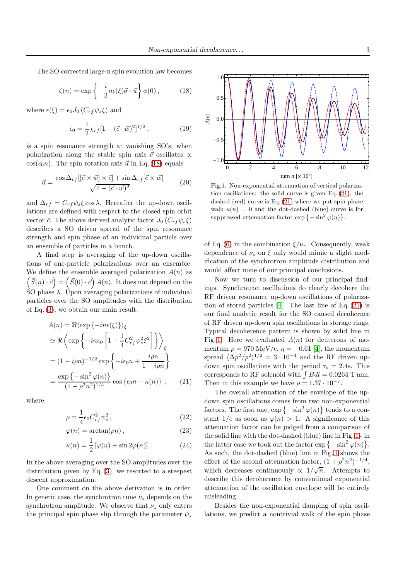The SO corrected large-n spin evolution law becomes

<span id="page-2-0"></span>
$$
\zeta(n) = \exp\left\{-\frac{i}{2}n\epsilon(\xi)\vec{\sigma}\cdot\vec{u}\right\}\phi(0),\qquad (18)
$$

where  $\epsilon(\xi) = \epsilon_0 J_0 (C_{rf} \psi_s \xi)$  and

$$
\epsilon_0 = \frac{1}{2}\chi_{rf}[1 - (\vec{c} \cdot \vec{w})^2]^{1/2}, \qquad (19)
$$

is a spin resonance strength at vanishing SO's, when polarization along the stable spin axis  $\vec{c}$  oscillates  $\infty$  $\cos(\epsilon_0 n)$ . The spin rotation axis  $\vec{u}$  in Eq. [\(18\)](#page-2-0) equals

$$
\vec{u} = \frac{\cos \Delta_{rf} [[\vec{c} \times \vec{w}] \times \vec{c}] + \sin \Delta_{rf} [\vec{c} \times \vec{w}]}{\sqrt{1 - (\vec{c} \cdot \vec{w})^2}} \tag{20}
$$

and  $\Delta_{rf} = C_{rf} \psi_s \xi \cos \lambda$ . Hereafter the up-down oscillations are defined with respect to the closed spin orbit vector  $\vec{c}$ . The above derived analytic factor  $J_0 (C_{rf} \psi_s \xi)$ describes a SO driven spread of the spin resonance strength and spin phase of an individual particle over an ensemble of particles in a bunch.

A final step is averaging of the up-down oscillations of one-particle polarizations over an ensemble. We define the ensemble averaged polarization  $A(n)$  as  $(\vec{S}(n) \cdot \vec{c}) = (\vec{S}(0) \cdot \vec{c}) A(n)$ . It does not depend on the SO phase  $\lambda$ . Upon averaging polarizations of individual particles over the SO amplitudes with the distribution of Eq. [\(3\)](#page-0-0), we obtain our main result:

$$
A(n) = \Re\langle \exp\{-in\epsilon(\xi)\}\rangle_{\xi}
$$
  
\n
$$
\simeq \Re\langle \exp\left\{-in\epsilon_0 \left[1 - \frac{1}{4}C_{rf}^2 \psi_s^2 \xi^2\right]\right\}\rangle_{\xi}
$$
  
\n
$$
= (1 - i\rho n)^{-1/2} \exp\left\{-i\epsilon_0 n + \frac{i\rho n}{1 - i\rho n}\right\}
$$
  
\n
$$
= \frac{\exp\{-\sin^2\varphi(n)\}}{(1 + \rho^2 n^2)^{1/4}} \cos\{\epsilon_0 n - \kappa(n)\}, \qquad (21)
$$

where

$$
\rho = \frac{1}{4} \epsilon_0 C_{rf}^2 \psi_s^2 \,, \tag{22}
$$

$$
\varphi(n) = \arctan(\rho n), \qquad (23)
$$

$$
\kappa(n) = \frac{1}{2} \left[ \varphi(n) + \sin 2\varphi(n) \right]. \tag{24}
$$

In the above averaging over the SO amplitudes over the distribution given by Eq. [\(3\)](#page-0-0), we resorted to a steepest descent approximation.

One comment on the above derivation is in order. In generic case, the synchrotron tune  $\nu_z$  depends on the synchrotron amplitude. We observe that  $\nu_z$  only enters the principal spin phase slip through the parameter  $\psi_s$ 



<span id="page-2-2"></span>Fig.1. Non-exponential attenuation of vertical polarization oscillations: the solid curve is given Eq. [\(21\)](#page-2-1), the dashed (red) curve is Eq. [\(21\)](#page-2-1) where we put spin phase walk  $\kappa(n) = 0$  and the dot-dashed (blue) curve is for suppressed attenuation factor  $\exp\{-\sin^2\varphi(n)\}.$ 

of Eq. [\(6\)](#page-1-1) in the combination  $\xi/\nu_z$ . Consequently, weak dependence of  $\nu_z$  on  $\xi$  only would mimic a slight modification of the synchrotron amplitude distribution and would affect none of our principal conclusions.

Now we turn to discussion of our principal findings. Synchrotron oscillations do clearly decohere the RF driven resonance up-down oscillations of polarization of stored particles [\[4\]](#page-3-3). The last line of Eq. [\(21\)](#page-2-1) is our final analytic result for the SO caused decohernce of RF driven up-down spin oscillations in storage rings. Typical decoherence pattern is shown by solid line in Fig. [1.](#page-2-2) Here we evaluated  $A(n)$  for deuterons of momentum  $p = 970$  MeV/c,  $\eta = -0.61$  [\[4\]](#page-3-3), the momentum spread  $\langle \Delta p^2/p^2 \rangle^{1/2} = 3 \cdot 10^{-4}$  and the RF driven updown spin oscillations with the period  $\tau_s = 2.4$ s. This corresponds to RF solenoid with  $\int B dl = 0.0264$  T mm. Then in this example we have  $\rho = 1.37 \cdot 10^{-7}$ .

<span id="page-2-1"></span>The overall attenuation of the envelope of the updown spin oscillations comes from two non-exponential factors. The first one,  $\exp\{-\sin^2\varphi(n)\}\)$  tends to a constant  $1/e$  as soon as  $\varphi(n) > 1$ . A significance of this attenuation factor can be judged from a comparison of the solid line with the dot-dashed (blue) line in Fig. [1](#page-2-2) - in the latter case we took out the factor  $\exp\{-\sin^2\varphi(n)\}.$ As such, the dot-dashed (blue) line in Fig. [1](#page-2-2) shows the effect of the second attenuation factor,  $(1 + \rho^2 n^2)^{-1/4}$ , which decreases continuously  $\propto 1/\sqrt{n}$ . Attempts to describe this decoherence by conventional exponential attenuation of the oscillation envelope will be entirely misleading.

Besides the non-exponential damping of spin oscillations, we predict a nontrivial walk of the spin phase